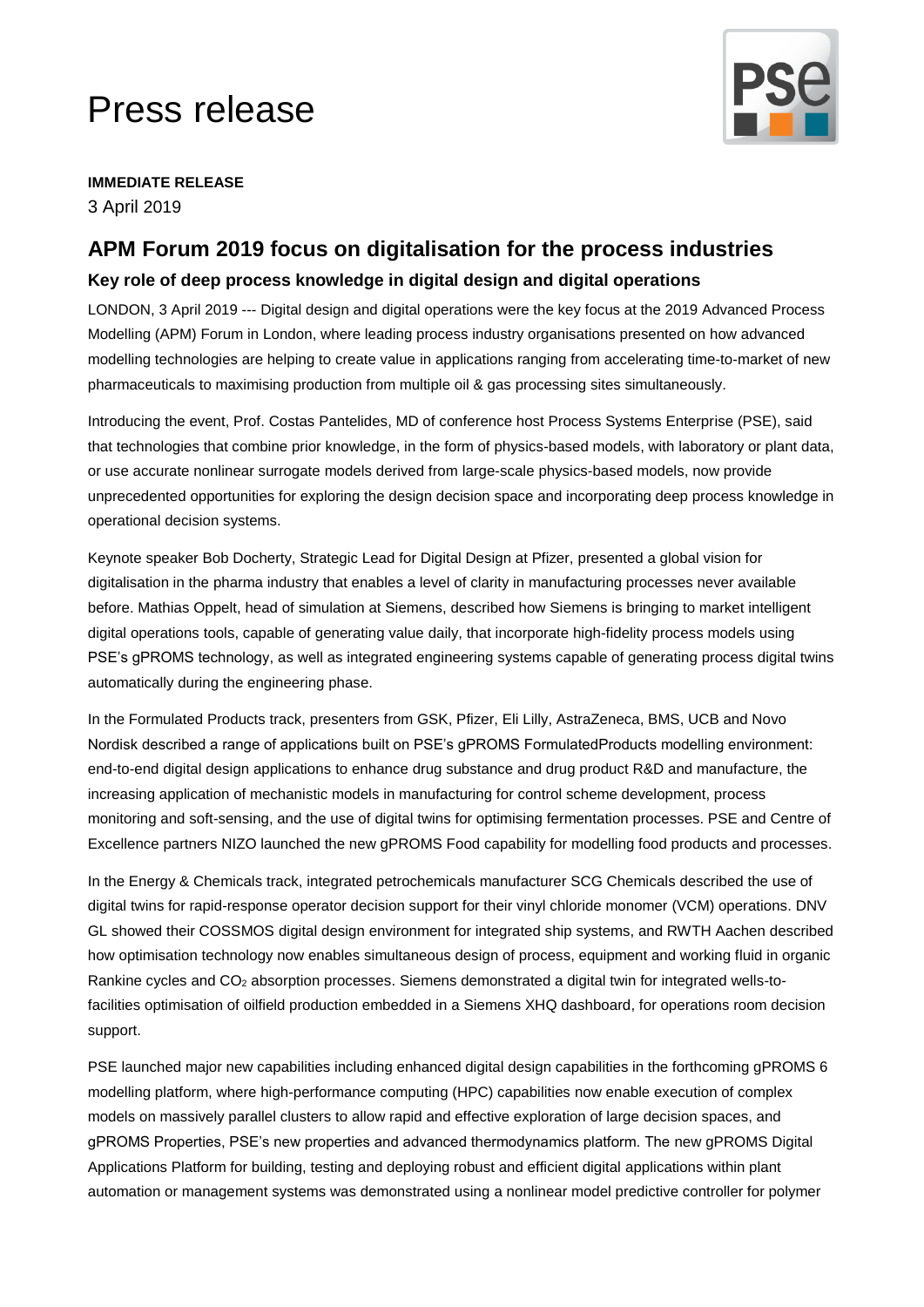# Press release



**IMMEDIATE RELEASE** 3 April 2019

# **APM Forum 2019 focus on digitalisation for the process industries**

## **Key role of deep process knowledge in digital design and digital operations**

LONDON, 3 April 2019 --- Digital design and digital operations were the key focus at the 2019 Advanced Process Modelling (APM) Forum in London, where leading process industry organisations presented on how advanced modelling technologies are helping to create value in applications ranging from accelerating time-to-market of new pharmaceuticals to maximising production from multiple oil & gas processing sites simultaneously.

Introducing the event, Prof. Costas Pantelides, MD of conference host Process Systems Enterprise (PSE), said that technologies that combine prior knowledge, in the form of physics-based models, with laboratory or plant data, or use accurate nonlinear surrogate models derived from large-scale physics-based models, now provide unprecedented opportunities for exploring the design decision space and incorporating deep process knowledge in operational decision systems.

Keynote speaker Bob Docherty, Strategic Lead for Digital Design at Pfizer, presented a global vision for digitalisation in the pharma industry that enables a level of clarity in manufacturing processes never available before. Mathias Oppelt, head of simulation at Siemens, described how Siemens is bringing to market intelligent digital operations tools, capable of generating value daily, that incorporate high-fidelity process models using PSE's gPROMS technology, as well as integrated engineering systems capable of generating process digital twins automatically during the engineering phase.

In the Formulated Products track, presenters from GSK, Pfizer, Eli Lilly, AstraZeneca, BMS, UCB and Novo Nordisk described a range of applications built on PSE's gPROMS FormulatedProducts modelling environment: end-to-end digital design applications to enhance drug substance and drug product R&D and manufacture, the increasing application of mechanistic models in manufacturing for control scheme development, process monitoring and soft-sensing, and the use of digital twins for optimising fermentation processes. PSE and Centre of Excellence partners NIZO launched the new gPROMS Food capability for modelling food products and processes.

In the Energy & Chemicals track, integrated petrochemicals manufacturer SCG Chemicals described the use of digital twins for rapid-response operator decision support for their vinyl chloride monomer (VCM) operations. DNV GL showed their COSSMOS digital design environment for integrated ship systems, and RWTH Aachen described how optimisation technology now enables simultaneous design of process, equipment and working fluid in organic Rankine cycles and CO<sup>2</sup> absorption processes. Siemens demonstrated a digital twin for integrated wells-tofacilities optimisation of oilfield production embedded in a Siemens XHQ dashboard, for operations room decision support.

PSE launched major new capabilities including enhanced digital design capabilities in the forthcoming gPROMS 6 modelling platform, where high-performance computing (HPC) capabilities now enable execution of complex models on massively parallel clusters to allow rapid and effective exploration of large decision spaces, and gPROMS Properties, PSE's new properties and advanced thermodynamics platform. The new gPROMS Digital Applications Platform for building, testing and deploying robust and efficient digital applications within plant automation or management systems was demonstrated using a nonlinear model predictive controller for polymer